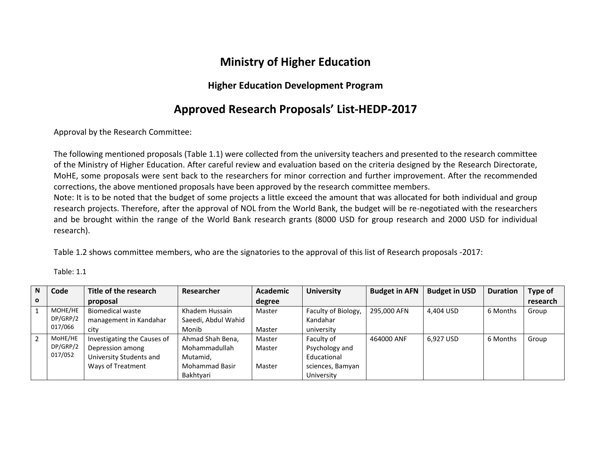## **Ministry of Higher Education**

## **Higher Education Development Program**

## **Approved Research Proposals' List-HEDP-2017**

Approval by the Research Committee:

The following mentioned proposals (Table 1.1) were collected from the university teachers and presented to the research committee of the Ministry of Higher Education. After careful review and evaluation based on the criteria designed by the Research Directorate, MoHE, some proposals were sent back to the researchers for minor correction and further improvement. After the recommended corrections, the above mentioned proposals have been approved by the research committee members.

Note: It is to be noted that the budget of some projects a little exceed the amount that was allocated for both individual and group research projects. Therefore, after the approval of NOL from the World Bank, the budget will be re-negotiated with the researchers and be brought within the range of the World Bank research grants (8000 USD for group research and 2000 USD for individual research).

Table 1.2 shows committee members, who are the signatories to the approval of this list of Research proposals -2017:

| N            | Code     | Title of the research       | Researcher            | Academic | <b>University</b>   | <b>Budget in AFN</b> | <b>Budget in USD</b> | <b>Duration</b> | <b>Type of</b> |
|--------------|----------|-----------------------------|-----------------------|----------|---------------------|----------------------|----------------------|-----------------|----------------|
| $\mathbf{o}$ |          | proposal                    |                       | degree   |                     |                      |                      |                 | research       |
|              | MOHE/HE  | <b>Biomedical waste</b>     | Khadem Hussain        | Master   | Faculty of Biology, | 295,000 AFN          | 4,404 USD            | 6 Months        | Group          |
|              | DP/GRP/2 | management in Kandahar      | Saeedi, Abdul Wahid   |          | Kandahar            |                      |                      |                 |                |
|              | 017/066  | city                        | Monib                 | Master   | university          |                      |                      |                 |                |
|              | MoHE/HE  | Investigating the Causes of | Ahmad Shah Bena,      | Master   | Faculty of          | 464000 ANF           | 6,927 USD            | 6 Months        | Group          |
|              | DP/GRP/2 | Depression among            | Mohammadullah         | Master   | Psychology and      |                      |                      |                 |                |
|              | 017/052  | University Students and     | Mutamid,              |          | Educational         |                      |                      |                 |                |
|              |          | Ways of Treatment           | <b>Mohammad Basir</b> | Master   | sciences, Bamyan    |                      |                      |                 |                |
|              |          |                             | Bakhtyari             |          | University          |                      |                      |                 |                |

Table: 1.1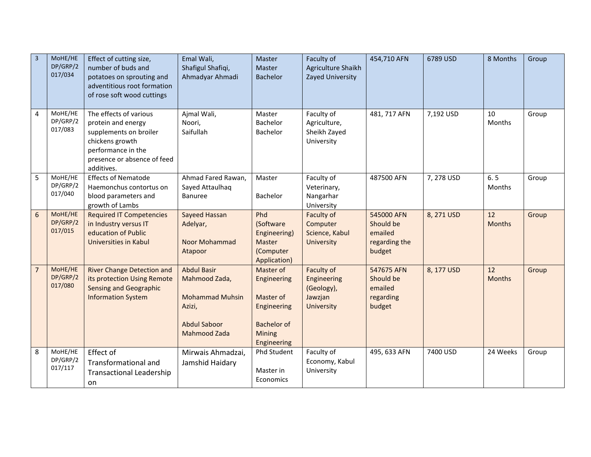| $\overline{3}$ | MoHE/HE<br>DP/GRP/2<br>017/034 | Effect of cutting size,<br>number of buds and<br>potatoes on sprouting and<br>adventitious root formation<br>of rose soft wood cuttings                      | Emal Wali,<br>Shafigul Shafiqi,<br>Ahmadyar Ahmadi                                                                    | Master<br>Master<br><b>Bachelor</b>                                                                 | Faculty of<br>Agriculture Shaikh<br>Zayed University                    | 454,710 AFN                                                   | 6789 USD   | 8 Months            | Group |
|----------------|--------------------------------|--------------------------------------------------------------------------------------------------------------------------------------------------------------|-----------------------------------------------------------------------------------------------------------------------|-----------------------------------------------------------------------------------------------------|-------------------------------------------------------------------------|---------------------------------------------------------------|------------|---------------------|-------|
| $\overline{4}$ | MoHE/HE<br>DP/GRP/2<br>017/083 | The effects of various<br>protein and energy<br>supplements on broiler<br>chickens growth<br>performance in the<br>presence or absence of feed<br>additives. | Ajmal Wali,<br>Noori,<br>Saifullah                                                                                    | Master<br>Bachelor<br>Bachelor                                                                      | Faculty of<br>Agriculture,<br>Sheikh Zayed<br>University                | 481, 717 AFN                                                  | 7,192 USD  | 10<br>Months        | Group |
| 5              | MoHE/HE<br>DP/GRP/2<br>017/040 | <b>Effects of Nematode</b><br>Haemonchus contortus on<br>blood parameters and<br>growth of Lambs                                                             | Ahmad Fared Rawan,<br>Sayed Attaulhaq<br><b>Banuree</b>                                                               | Master<br>Bachelor                                                                                  | Faculty of<br>Veterinary,<br>Nangarhar<br>University                    | 487500 AFN                                                    | 7, 278 USD | 6.5<br>Months       | Group |
| $6\,$          | MoHE/HE<br>DP/GRP/2<br>017/015 | <b>Required IT Competencies</b><br>in Industry versus IT<br>education of Public<br><b>Universities in Kabul</b>                                              | Sayeed Hassan<br>Adelyar,<br>Noor Mohammad<br>Atapoor                                                                 | Phd<br>(Software<br>Engineering)<br>Master<br>(Computer<br>Application)                             | Faculty of<br>Computer<br>Science, Kabul<br><b>University</b>           | 545000 AFN<br>Should be<br>emailed<br>regarding the<br>budget | 8, 271 USD | 12<br><b>Months</b> | Group |
| $\overline{7}$ | MoHE/HE<br>DP/GRP/2<br>017/080 | <b>River Change Detection and</b><br>its protection Using Remote<br><b>Sensing and Geographic</b><br><b>Information System</b>                               | <b>Abdul Basir</b><br>Mahmood Zada,<br><b>Mohammad Muhsin</b><br>Azizi,<br><b>Abdul Saboor</b><br><b>Mahmood Zada</b> | Master of<br>Engineering<br>Master of<br>Engineering<br><b>Bachelor of</b><br>Mining<br>Engineering | Faculty of<br>Engineering<br>(Geology),<br>Jawzjan<br><b>University</b> | 547675 AFN<br>Should be<br>emailed<br>regarding<br>budget     | 8, 177 USD | 12<br><b>Months</b> | Group |
| 8              | MoHE/HE<br>DP/GRP/2<br>017/117 | Effect of<br>Transformational and<br><b>Transactional Leadership</b><br>on                                                                                   | Mirwais Ahmadzai,<br>Jamshid Haidary                                                                                  | Phd Student<br>Master in<br>Economics                                                               | Faculty of<br>Economy, Kabul<br>University                              | 495, 633 AFN                                                  | 7400 USD   | 24 Weeks            | Group |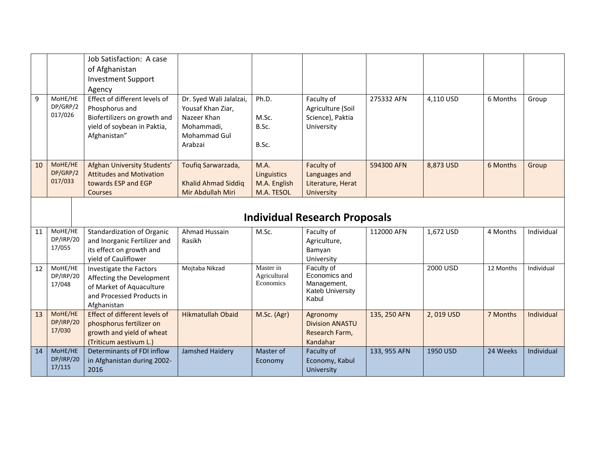|    |                      | Job Satisfaction: A case                                 |                          |                  |                                      |              |           |           |            |
|----|----------------------|----------------------------------------------------------|--------------------------|------------------|--------------------------------------|--------------|-----------|-----------|------------|
|    |                      | of Afghanistan                                           |                          |                  |                                      |              |           |           |            |
|    |                      | <b>Investment Support</b>                                |                          |                  |                                      |              |           |           |            |
|    |                      | Agency                                                   |                          |                  |                                      |              |           |           |            |
| 9  | MoHE/HE              | Effect of different levels of                            | Dr. Syed Wali Jalalzai,  | Ph.D.            | Faculty of                           | 275332 AFN   | 4,110 USD | 6 Months  | Group      |
|    | DP/GRP/2             | Phosphorus and                                           | Yousaf Khan Ziar,        |                  | Agriculture (Soil                    |              |           |           |            |
|    | 017/026              | Biofertilizers on growth and                             | Nazeer Khan              | M.Sc.            | Science), Paktia                     |              |           |           |            |
|    |                      | yield of soybean in Paktia,                              | Mohammadi,               | B.Sc.            | University                           |              |           |           |            |
|    |                      | Afghanistan"                                             | <b>Mohammad Gul</b>      |                  |                                      |              |           |           |            |
|    |                      |                                                          | Arabzai                  | B.Sc.            |                                      |              |           |           |            |
|    |                      |                                                          |                          |                  |                                      |              |           |           |            |
| 10 | MoHE/HE              | Afghan University Students'                              | Toufiq Sarwarzada,       | M.A.             | Faculty of                           | 594300 AFN   | 8,873 USD | 6 Months  | Group      |
|    | DP/GRP/2             | <b>Attitudes and Motivation</b>                          |                          | Linguistics      | Languages and                        |              |           |           |            |
|    | 017/033              | towards ESP and EGP                                      | Khalid Ahmad Siddiq      | M.A. English     | Literature, Herat                    |              |           |           |            |
|    |                      | <b>Courses</b>                                           | Mir Abdullah Miri        | M.A. TESOL       | <b>University</b>                    |              |           |           |            |
|    |                      |                                                          |                          |                  |                                      |              |           |           |            |
|    |                      |                                                          |                          |                  | <b>Individual Research Proposals</b> |              |           |           |            |
|    |                      |                                                          |                          |                  |                                      |              |           |           |            |
| 11 | MoHE/HE<br>DP/IRP/20 | Standardization of Organic                               | Ahmad Hussain            | M.Sc.            | Faculty of                           | 112000 AFN   | 1,672 USD | 4 Months  | Individual |
|    | 17/055               | and Inorganic Fertilizer and<br>its effect on growth and | Rasikh                   |                  | Agriculture,                         |              |           |           |            |
|    |                      | yield of Cauliflower                                     |                          |                  | Bamyan                               |              |           |           |            |
| 12 | MoHE/HE              |                                                          | Mojtaba Nikzad           | Master in        | University<br>Faculty of             |              | 2000 USD  | 12 Months | Individual |
|    | DP/IRP/20            | Investigate the Factors<br>Affecting the Development     |                          | Agricultural     | Economics and                        |              |           |           |            |
|    | 17/048               | of Market of Aquaculture                                 |                          | <b>Economics</b> | Management,                          |              |           |           |            |
|    |                      | and Processed Products in                                |                          |                  | Kateb University                     |              |           |           |            |
|    |                      | Afghanistan                                              |                          |                  | Kabul                                |              |           |           |            |
| 13 | MoHE/HE              | Effect of different levels of                            | <b>Hikmatullah Obaid</b> | M.Sc. (Agr)      | Agronomy                             | 135, 250 AFN | 2,019 USD | 7 Months  | Individual |
|    | DP/IRP/20            | phosphorus fertilizer on                                 |                          |                  | <b>Division ANASTU</b>               |              |           |           |            |
|    | 17/030               | growth and yield of wheat                                |                          |                  | Research Farm,                       |              |           |           |            |
|    |                      | (Triticum aestivum L.)                                   |                          |                  | Kandahar                             |              |           |           |            |
| 14 | MoHE/HE              | Determinants of FDI inflow                               | Jamshed Haidery          | Master of        | Faculty of                           | 133, 955 AFN | 1950 USD  | 24 Weeks  | Individual |
|    | DP/IRP/20            | in Afghanistan during 2002-                              |                          | Economy          | Economy, Kabul                       |              |           |           |            |
|    | 17/115               | 2016                                                     |                          |                  | University                           |              |           |           |            |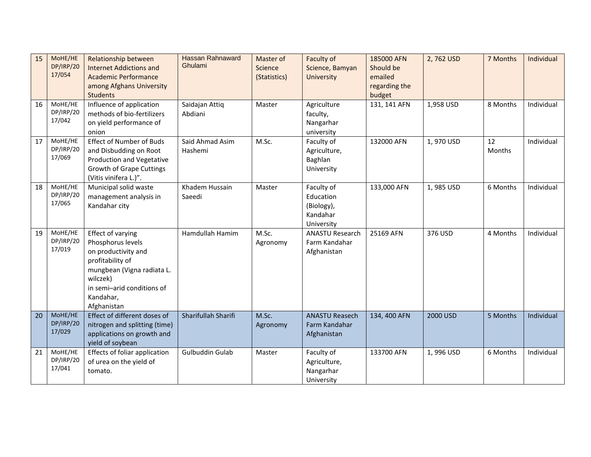| 15 | MoHE/HE<br>DP/IRP/20<br>17/054 | Relationship between<br><b>Internet Addictions and</b><br><b>Academic Performance</b><br>among Afghans University<br><b>Students</b>                                                  | <b>Hassan Rahnaward</b><br>Ghulami | Master of<br>Science<br>(Statistics) | Faculty of<br>Science, Bamyan<br><b>University</b>              | 185000 AFN<br>Should be<br>emailed<br>regarding the<br>budget | 2,762 USD | 7 Months            | Individual |
|----|--------------------------------|---------------------------------------------------------------------------------------------------------------------------------------------------------------------------------------|------------------------------------|--------------------------------------|-----------------------------------------------------------------|---------------------------------------------------------------|-----------|---------------------|------------|
| 16 | MoHE/HE<br>DP/IRP/20<br>17/042 | Influence of application<br>methods of bio-fertilizers<br>on yield performance of<br>onion                                                                                            | Saidajan Attiq<br>Abdiani          | Master                               | Agriculture<br>faculty,<br>Nangarhar<br>university              | 131, 141 AFN                                                  | 1,958 USD | 8 Months            | Individual |
| 17 | MoHE/HE<br>DP/IRP/20<br>17/069 | <b>Effect of Number of Buds</b><br>and Disbudding on Root<br>Production and Vegetative<br><b>Growth of Grape Cuttings</b><br>(Vitis vinifera L.)".                                    | Said Ahmad Asim<br>Hashemi         | M.Sc.                                | Faculty of<br>Agriculture,<br>Baghlan<br>University             | 132000 AFN                                                    | 1,970 USD | 12<br><b>Months</b> | Individual |
| 18 | MoHE/HE<br>DP/IRP/20<br>17/065 | Municipal solid waste<br>management analysis in<br>Kandahar city                                                                                                                      | Khadem Hussain<br>Saeedi           | Master                               | Faculty of<br>Education<br>(Biology),<br>Kandahar<br>University | 133,000 AFN                                                   | 1,985 USD | 6 Months            | Individual |
| 19 | MoHE/HE<br>DP/IRP/20<br>17/019 | Effect of varying<br>Phosphorus levels<br>on productivity and<br>profitability of<br>mungbean (Vigna radiata L.<br>wilczek)<br>in semi-arid conditions of<br>Kandahar,<br>Afghanistan | Hamdullah Hamim                    | M.Sc.<br>Agronomy                    | <b>ANASTU Research</b><br>Farm Kandahar<br>Afghanistan          | 25169 AFN                                                     | 376 USD   | 4 Months            | Individual |
| 20 | MoHE/HE<br>DP/IRP/20<br>17/029 | Effect of different doses of<br>nitrogen and splitting (time)<br>applications on growth and<br>yield of soybean                                                                       | Sharifullah Sharifi                | M.Sc.<br>Agronomy                    | <b>ANASTU Reasech</b><br>Farm Kandahar<br>Afghanistan           | 134, 400 AFN                                                  | 2000 USD  | 5 Months            | Individual |
| 21 | MoHE/HE<br>DP/IRP/20<br>17/041 | <b>Effects of foliar application</b><br>of urea on the yield of<br>tomato.                                                                                                            | Gulbuddin Gulab                    | Master                               | Faculty of<br>Agriculture,<br>Nangarhar<br>University           | 133700 AFN                                                    | 1,996 USD | 6 Months            | Individual |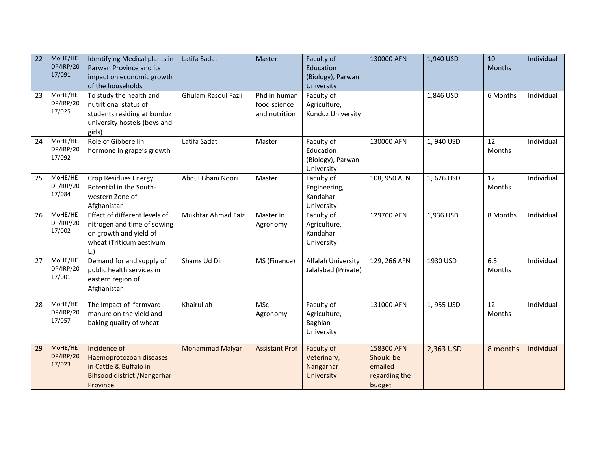| 22<br>23 | MoHE/HE<br>DP/IRP/20<br>17/091<br>MoHE/HE<br>DP/IRP/20<br>17/025 | Identifying Medical plants in<br>Parwan Province and its<br>impact on economic growth<br>of the households<br>To study the health and<br>nutritional status of<br>students residing at kunduz<br>university hostels (boys and | Latifa Sadat<br>Ghulam Rasoul Fazli | Master<br>Phd in human<br>food science<br>and nutrition | Faculty of<br>Education<br>(Biology), Parwan<br>University<br>Faculty of<br>Agriculture,<br>Kunduz University | 130000 AFN                                                    | 1,940 USD<br>1,846 USD | 10<br>Months<br>6 Months | Individual<br>Individual |
|----------|------------------------------------------------------------------|-------------------------------------------------------------------------------------------------------------------------------------------------------------------------------------------------------------------------------|-------------------------------------|---------------------------------------------------------|---------------------------------------------------------------------------------------------------------------|---------------------------------------------------------------|------------------------|--------------------------|--------------------------|
|          |                                                                  | girls)                                                                                                                                                                                                                        |                                     |                                                         |                                                                                                               |                                                               |                        |                          |                          |
| 24       | MoHE/HE<br>DP/IRP/20<br>17/092                                   | Role of Gibberellin<br>hormone in grape's growth                                                                                                                                                                              | Latifa Sadat                        | Master                                                  | Faculty of<br>Education<br>(Biology), Parwan<br>University                                                    | 130000 AFN                                                    | 1,940 USD              | 12<br>Months             | Individual               |
| 25       | MoHE/HE<br>DP/IRP/20<br>17/084                                   | <b>Crop Residues Energy</b><br>Potential in the South-<br>western Zone of<br>Afghanistan                                                                                                                                      | Abdul Ghani Noori                   | Master                                                  | Faculty of<br>Engineering,<br>Kandahar<br>University                                                          | 108, 950 AFN                                                  | 1,626 USD              | 12<br>Months             | Individual               |
| 26       | MoHE/HE<br>DP/IRP/20<br>17/002                                   | Effect of different levels of<br>nitrogen and time of sowing<br>on growth and yield of<br>wheat (Triticum aestivum<br>L.                                                                                                      | Mukhtar Ahmad Faiz                  | Master in<br>Agronomy                                   | Faculty of<br>Agriculture,<br>Kandahar<br>University                                                          | 129700 AFN                                                    | 1,936 USD              | 8 Months                 | Individual               |
| 27       | MoHE/HE<br>DP/IRP/20<br>17/001                                   | Demand for and supply of<br>public health services in<br>eastern region of<br>Afghanistan                                                                                                                                     | Shams Ud Din                        | MS (Finance)                                            | Alfalah University<br>Jalalabad (Private)                                                                     | 129, 266 AFN                                                  | 1930 USD               | 6.5<br>Months            | Individual               |
| 28       | MoHE/HE<br>DP/IRP/20<br>17/057                                   | The Impact of farmyard<br>manure on the yield and<br>baking quality of wheat                                                                                                                                                  | Khairullah                          | <b>MSc</b><br>Agronomy                                  | Faculty of<br>Agriculture,<br>Baghlan<br>University                                                           | 131000 AFN                                                    | 1,955 USD              | 12<br>Months             | Individual               |
| 29       | MoHE/HE<br>DP/IRP/20<br>17/023                                   | Incidence of<br>Haemoprotozoan diseases<br>in Cattle & Buffalo in<br>Bihsood district / Nangarhar<br>Province                                                                                                                 | <b>Mohammad Malyar</b>              | <b>Assistant Prof</b>                                   | Faculty of<br>Veterinary,<br>Nangarhar<br>University                                                          | 158300 AFN<br>Should be<br>emailed<br>regarding the<br>budget | 2,363 USD              | 8 months                 | Individual               |